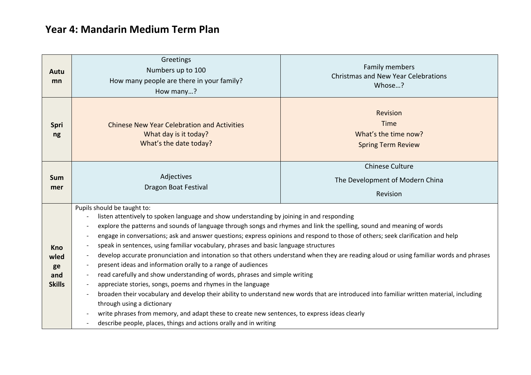## **Year 4: Mandarin Medium Term Plan**

| Autu<br>mn                                       | Greetings<br>Numbers up to 100<br>How many people are there in your family?<br>How many?                                                                                                                                                                                                                                                                                                                                                                                                                                                                                                                                                                                                                                                                                                                                                                                                                                                                                                                                                                                                                                                                                                                                                     | Family members<br><b>Christmas and New Year Celebrations</b><br>Whose?       |
|--------------------------------------------------|----------------------------------------------------------------------------------------------------------------------------------------------------------------------------------------------------------------------------------------------------------------------------------------------------------------------------------------------------------------------------------------------------------------------------------------------------------------------------------------------------------------------------------------------------------------------------------------------------------------------------------------------------------------------------------------------------------------------------------------------------------------------------------------------------------------------------------------------------------------------------------------------------------------------------------------------------------------------------------------------------------------------------------------------------------------------------------------------------------------------------------------------------------------------------------------------------------------------------------------------|------------------------------------------------------------------------------|
| <b>Spri</b><br>ng                                | <b>Chinese New Year Celebration and Activities</b><br>What day is it today?<br>What's the date today?                                                                                                                                                                                                                                                                                                                                                                                                                                                                                                                                                                                                                                                                                                                                                                                                                                                                                                                                                                                                                                                                                                                                        | <b>Revision</b><br>Time<br>What's the time now?<br><b>Spring Term Review</b> |
| <b>Sum</b><br>mer                                | Adjectives<br>Dragon Boat Festival                                                                                                                                                                                                                                                                                                                                                                                                                                                                                                                                                                                                                                                                                                                                                                                                                                                                                                                                                                                                                                                                                                                                                                                                           | <b>Chinese Culture</b><br>The Development of Modern China<br>Revision        |
| <b>Kno</b><br>wled<br>ge<br>and<br><b>Skills</b> | Pupils should be taught to:<br>listen attentively to spoken language and show understanding by joining in and responding<br>explore the patterns and sounds of language through songs and rhymes and link the spelling, sound and meaning of words<br>engage in conversations; ask and answer questions; express opinions and respond to those of others; seek clarification and help<br>speak in sentences, using familiar vocabulary, phrases and basic language structures<br>develop accurate pronunciation and intonation so that others understand when they are reading aloud or using familiar words and phrases<br>present ideas and information orally to a range of audiences<br>read carefully and show understanding of words, phrases and simple writing<br>$\overline{\phantom{a}}$<br>appreciate stories, songs, poems and rhymes in the language<br>broaden their vocabulary and develop their ability to understand new words that are introduced into familiar written material, including<br>$\overline{\phantom{a}}$<br>through using a dictionary<br>write phrases from memory, and adapt these to create new sentences, to express ideas clearly<br>describe people, places, things and actions orally and in writing |                                                                              |